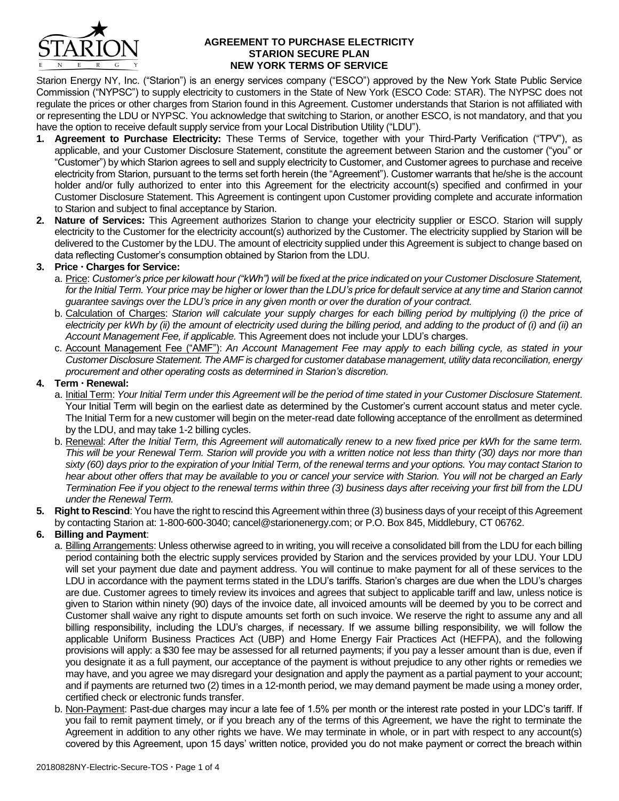

### **AGREEMENT TO PURCHASE ELECTRICITY STARION SECURE PLAN NEW YORK TERMS OF SERVICE**

Starion Energy NY, Inc. ("Starion") is an energy services company ("ESCO") approved by the New York State Public Service Commission ("NYPSC") to supply electricity to customers in the State of New York (ESCO Code: STAR). The NYPSC does not regulate the prices or other charges from Starion found in this Agreement. Customer understands that Starion is not affiliated with or representing the LDU or NYPSC. You acknowledge that switching to Starion, or another ESCO, is not mandatory, and that you have the option to receive default supply service from your Local Distribution Utility ("LDU").

- **1. Agreement to Purchase Electricity:** These Terms of Service, together with your Third-Party Verification ("TPV"), as applicable, and your Customer Disclosure Statement, constitute the agreement between Starion and the customer ("you" or "Customer") by which Starion agrees to sell and supply electricity to Customer, and Customer agrees to purchase and receive electricity from Starion, pursuant to the terms set forth herein (the "Agreement"). Customer warrants that he/she is the account holder and/or fully authorized to enter into this Agreement for the electricity account(s) specified and confirmed in your Customer Disclosure Statement. This Agreement is contingent upon Customer providing complete and accurate information to Starion and subject to final acceptance by Starion.
- **2. Nature of Services:** This Agreement authorizes Starion to change your electricity supplier or ESCO. Starion will supply electricity to the Customer for the electricity account(s) authorized by the Customer. The electricity supplied by Starion will be delivered to the Customer by the LDU. The amount of electricity supplied under this Agreement is subject to change based on data reflecting Customer's consumption obtained by Starion from the LDU.

## **3. Price Charges for Service:**

- a. Price: *Customer's price per kilowatt hour ("kWh") will be fixed at the price indicated on your Customer Disclosure Statement,*  for the Initial Term. Your price may be higher or lower than the LDU's price for default service at any time and Starion cannot *guarantee savings over the LDU's price in any given month or over the duration of your contract.*
- b. Calculation of Charges: *Starion will calculate your supply charges for each billing period by multiplying (i) the price of electricity per kWh by (ii) the amount of electricity used during the billing period, and adding to the product of (i) and (ii) an Account Management Fee, if applicable.* This Agreement does not include your LDU's charges.
- c. Account Management Fee ("AMF"): *An Account Management Fee may apply to each billing cycle, as stated in your Customer Disclosure Statement. The AMF is charged for customer database management, utility data reconciliation, energy procurement and other operating costs as determined in Starion's discretion.*

# **4. Term Renewal:**

- a. Initial Term: *Your Initial Term under this Agreement will be the period of time stated in your Customer Disclosure Statement*. Your Initial Term will begin on the earliest date as determined by the Customer's current account status and meter cycle. The Initial Term for a new customer will begin on the meter-read date following acceptance of the enrollment as determined by the LDU, and may take 1-2 billing cycles.
- b. Renewal: *After the Initial Term, this Agreement will automatically renew to a new fixed price per kWh for the same term. This will be your Renewal Term. Starion will provide you with a written notice not less than thirty (30) days nor more than sixty (60) days prior to the expiration of your Initial Term, of the renewal terms and your options. You may contact Starion to hear about other offers that may be available to you or cancel your service with Starion. You will not be charged an Early Termination Fee if you object to the renewal terms within three (3) business days after receiving your first bill from the LDU under the Renewal Term.*
- **5. Right to Rescind**: You have the right to rescind this Agreement within three (3) business days of your receipt of this Agreement by contacting Starion at: 1-800-600-3040; cancel@starionenergy.com; or P.O. Box 845, Middlebury, CT 06762.

# **6. Billing and Payment**:

- a. Billing Arrangements: Unless otherwise agreed to in writing, you will receive a consolidated bill from the LDU for each billing period containing both the electric supply services provided by Starion and the services provided by your LDU. Your LDU will set your payment due date and payment address. You will continue to make payment for all of these services to the LDU in accordance with the payment terms stated in the LDU's tariffs. Starion's charges are due when the LDU's charges are due. Customer agrees to timely review its invoices and agrees that subject to applicable tariff and law, unless notice is given to Starion within ninety (90) days of the invoice date, all invoiced amounts will be deemed by you to be correct and Customer shall waive any right to dispute amounts set forth on such invoice. We reserve the right to assume any and all billing responsibility, including the LDU's charges, if necessary. If we assume billing responsibility, we will follow the applicable Uniform Business Practices Act (UBP) and Home Energy Fair Practices Act (HEFPA), and the following provisions will apply: a \$30 fee may be assessed for all returned payments; if you pay a lesser amount than is due, even if you designate it as a full payment, our acceptance of the payment is without prejudice to any other rights or remedies we may have, and you agree we may disregard your designation and apply the payment as a partial payment to your account; and if payments are returned two (2) times in a 12-month period, we may demand payment be made using a money order, certified check or electronic funds transfer.
- b. Non-Payment: Past-due charges may incur a late fee of 1.5% per month or the interest rate posted in your LDC's tariff. If you fail to remit payment timely, or if you breach any of the terms of this Agreement, we have the right to terminate the Agreement in addition to any other rights we have. We may terminate in whole, or in part with respect to any account(s) covered by this Agreement, upon 15 days' written notice, provided you do not make payment or correct the breach within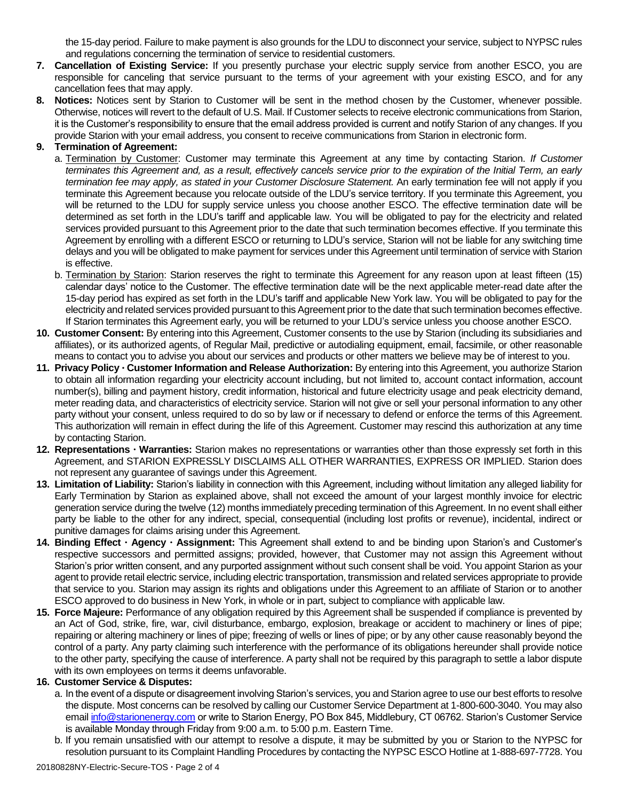the 15-day period. Failure to make payment is also grounds for the LDU to disconnect your service, subject to NYPSC rules and regulations concerning the termination of service to residential customers.

- **7. Cancellation of Existing Service:** If you presently purchase your electric supply service from another ESCO, you are responsible for canceling that service pursuant to the terms of your agreement with your existing ESCO, and for any cancellation fees that may apply.
- **8. Notices:** Notices sent by Starion to Customer will be sent in the method chosen by the Customer, whenever possible. Otherwise, notices will revert to the default of U.S. Mail. If Customer selects to receive electronic communications from Starion, it is the Customer's responsibility to ensure that the email address provided is current and notify Starion of any changes. If you provide Starion with your email address, you consent to receive communications from Starion in electronic form.

## **9. Termination of Agreement:**

- a. Termination by Customer: Customer may terminate this Agreement at any time by contacting Starion. *If Customer terminates this Agreement and, as a result, effectively cancels service prior to the expiration of the Initial Term, an early termination fee may apply, as stated in your Customer Disclosure Statement.* An early termination fee will not apply if you terminate this Agreement because you relocate outside of the LDU's service territory. If you terminate this Agreement, you will be returned to the LDU for supply service unless you choose another ESCO. The effective termination date will be determined as set forth in the LDU's tariff and applicable law. You will be obligated to pay for the electricity and related services provided pursuant to this Agreement prior to the date that such termination becomes effective. If you terminate this Agreement by enrolling with a different ESCO or returning to LDU's service, Starion will not be liable for any switching time delays and you will be obligated to make payment for services under this Agreement until termination of service with Starion is effective.
- b. Termination by Starion: Starion reserves the right to terminate this Agreement for any reason upon at least fifteen (15) calendar days' notice to the Customer. The effective termination date will be the next applicable meter-read date after the 15-day period has expired as set forth in the LDU's tariff and applicable New York law. You will be obligated to pay for the electricity and related services provided pursuant to this Agreement prior to the date that such termination becomes effective. If Starion terminates this Agreement early, you will be returned to your LDU's service unless you choose another ESCO.
- **10. Customer Consent:** By entering into this Agreement, Customer consents to the use by Starion (including its subsidiaries and affiliates), or its authorized agents, of Regular Mail, predictive or autodialing equipment, email, facsimile, or other reasonable means to contact you to advise you about our services and products or other matters we believe may be of interest to you.
- **11. Privacy Policy Customer Information and Release Authorization:** By entering into this Agreement, you authorize Starion to obtain all information regarding your electricity account including, but not limited to, account contact information, account number(s), billing and payment history, credit information, historical and future electricity usage and peak electricity demand, meter reading data, and characteristics of electricity service. Starion will not give or sell your personal information to any other party without your consent, unless required to do so by law or if necessary to defend or enforce the terms of this Agreement. This authorization will remain in effect during the life of this Agreement. Customer may rescind this authorization at any time by contacting Starion.
- **12. Representations Warranties:** Starion makes no representations or warranties other than those expressly set forth in this Agreement, and STARION EXPRESSLY DISCLAIMS ALL OTHER WARRANTIES, EXPRESS OR IMPLIED. Starion does not represent any guarantee of savings under this Agreement.
- **13. Limitation of Liability:** Starion's liability in connection with this Agreement, including without limitation any alleged liability for Early Termination by Starion as explained above, shall not exceed the amount of your largest monthly invoice for electric generation service during the twelve (12) months immediately preceding termination of this Agreement. In no event shall either party be liable to the other for any indirect, special, consequential (including lost profits or revenue), incidental, indirect or punitive damages for claims arising under this Agreement.
- **14. Binding Effect Agency Assignment:** This Agreement shall extend to and be binding upon Starion's and Customer's respective successors and permitted assigns; provided, however, that Customer may not assign this Agreement without Starion's prior written consent, and any purported assignment without such consent shall be void. You appoint Starion as your agent to provide retail electric service, including electric transportation, transmission and related services appropriate to provide that service to you. Starion may assign its rights and obligations under this Agreement to an affiliate of Starion or to another ESCO approved to do business in New York, in whole or in part, subject to compliance with applicable law.
- **15. Force Majeure:** Performance of any obligation required by this Agreement shall be suspended if compliance is prevented by an Act of God, strike, fire, war, civil disturbance, embargo, explosion, breakage or accident to machinery or lines of pipe; repairing or altering machinery or lines of pipe; freezing of wells or lines of pipe; or by any other cause reasonably beyond the control of a party. Any party claiming such interference with the performance of its obligations hereunder shall provide notice to the other party, specifying the cause of interference. A party shall not be required by this paragraph to settle a labor dispute with its own employees on terms it deems unfavorable.

### **16. Customer Service & Disputes:**

- a. In the event of a dispute or disagreement involving Starion's services, you and Starion agree to use our best efforts to resolve the dispute. Most concerns can be resolved by calling our Customer Service Department at 1-800-600-3040. You may also email [info@starionenergy.com](mailto:info@starionenergy.com) or write to Starion Energy, PO Box 845, Middlebury, CT 06762. Starion's Customer Service is available Monday through Friday from 9:00 a.m. to 5:00 p.m. Eastern Time.
- b. If you remain unsatisfied with our attempt to resolve a dispute, it may be submitted by you or Starion to the NYPSC for resolution pursuant to its Complaint Handling Procedures by contacting the NYPSC ESCO Hotline at 1-888-697-7728. You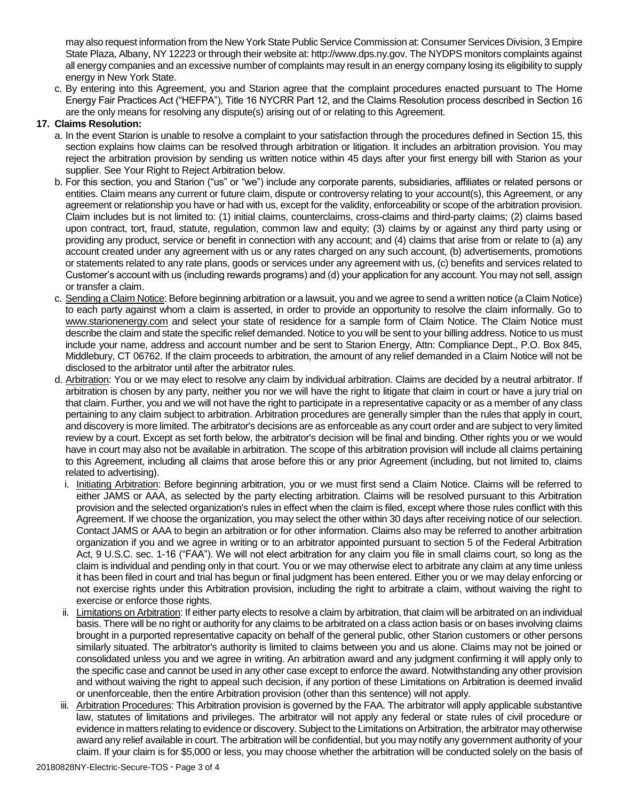may also request information from the New York State Public Service Commission at: Consumer Services Division, 3 Empire State Plaza, Albany, NY 12223 or through their website at: http://www.dps.ny.gov. The NYDPS monitors complaints against all energy companies and an excessive number of complaints may result in an energy company losing its eligibility to supply energy in New York State.

c. By entering into this Agreement, you and Starion agree that the complaint procedures enacted pursuant to The Home Energy Fair Practices Act ("HEFPA"), Title 16 NYCRR Part 12, and the Claims Resolution process described in Section 16 are the only means for resolving any dispute(s) arising out of or relating to this Agreement.

## **17. Claims Resolution:**

- a. In the event Starion is unable to resolve a complaint to your satisfaction through the procedures defined in Section 15, this section explains how claims can be resolved through arbitration or litigation. It includes an arbitration provision. You may reject the arbitration provision by sending us written notice within 45 days after your first energy bill with Starion as your supplier. See Your Right to Reject Arbitration below.
- b. For this section, you and Starion ("us" or "we") include any corporate parents, subsidiaries, affiliates or related persons or entities. Claim means any current or future claim, dispute or controversy relating to your account(s), this Agreement, or any agreement or relationship you have or had with us, except for the validity, enforceability or scope of the arbitration provision. Claim includes but is not limited to: (1) initial claims, counterclaims, cross-claims and third-party claims; (2) claims based upon contract, tort, fraud, statute, regulation, common law and equity; (3) claims by or against any third party using or providing any product, service or benefit in connection with any account; and (4) claims that arise from or relate to (a) any account created under any agreement with us or any rates charged on any such account, (b) advertisements, promotions or statements related to any rate plans, goods or services under any agreement with us, (c) benefits and services related to Customer's account with us (including rewards programs) and (d) your application for any account. You may not sell, assign or transfer a claim.
- c. Sending a Claim Notice: Before beginning arbitration or a lawsuit, you and we agree to send a written notice (a Claim Notice) to each party against whom a claim is asserted, in order to provide an opportunity to resolve the claim informally. Go to www.starionenergy.com and select your state of residence for a sample form of Claim Notice. The Claim Notice must describe the claim and state the specific relief demanded. Notice to you will be sent to your billing address. Notice to us must include your name, address and account number and be sent to Starion Energy, Attn: Compliance Dept., P.O. Box 845, Middlebury, CT 06762. If the claim proceeds to arbitration, the amount of any relief demanded in a Claim Notice will not be disclosed to the arbitrator until after the arbitrator rules.
- d. Arbitration: You or we may elect to resolve any claim by individual arbitration. Claims are decided by a neutral arbitrator. If arbitration is chosen by any party, neither you nor we will have the right to litigate that claim in court or have a jury trial on that claim. Further, you and we will not have the right to participate in a representative capacity or as a member of any class pertaining to any claim subject to arbitration. Arbitration procedures are generally simpler than the rules that apply in court, and discovery is more limited. The arbitrator's decisions are as enforceable as any court order and are subject to very limited review by a court. Except as set forth below, the arbitrator's decision will be final and binding. Other rights you or we would have in court may also not be available in arbitration. The scope of this arbitration provision will include all claims pertaining to this Agreement, including all claims that arose before this or any prior Agreement (including, but not limited to, claims related to advertising).
	- i. Initiating Arbitration: Before beginning arbitration, you or we must first send a Claim Notice. Claims will be referred to either JAMS or AAA, as selected by the party electing arbitration. Claims will be resolved pursuant to this Arbitration provision and the selected organization's rules in effect when the claim is filed, except where those rules conflict with this Agreement. If we choose the organization, you may select the other within 30 days after receiving notice of our selection. Contact JAMS or AAA to begin an arbitration or for other information. Claims also may be referred to another arbitration organization if you and we agree in writing or to an arbitrator appointed pursuant to section 5 of the Federal Arbitration Act, 9 U.S.C. sec. 1-16 ("FAA"). We will not elect arbitration for any claim you file in small claims court, so long as the claim is individual and pending only in that court. You or we may otherwise elect to arbitrate any claim at any time unless it has been filed in court and trial has begun or final judgment has been entered. Either you or we may delay enforcing or not exercise rights under this Arbitration provision, including the right to arbitrate a claim, without waiving the right to exercise or enforce those rights.
	- ii. Limitations on Arbitration: If either party elects to resolve a claim by arbitration, that claim will be arbitrated on an individual basis. There will be no right or authority for any claims to be arbitrated on a class action basis or on bases involving claims brought in a purported representative capacity on behalf of the general public, other Starion customers or other persons similarly situated. The arbitrator's authority is limited to claims between you and us alone. Claims may not be joined or consolidated unless you and we agree in writing. An arbitration award and any judgment confirming it will apply only to the specific case and cannot be used in any other case except to enforce the award. Notwithstanding any other provision and without waiving the right to appeal such decision, if any portion of these Limitations on Arbitration is deemed invalid or unenforceable, then the entire Arbitration provision (other than this sentence) will not apply.
- iii. Arbitration Procedures: This Arbitration provision is governed by the FAA. The arbitrator will apply applicable substantive law, statutes of limitations and privileges. The arbitrator will not apply any federal or state rules of civil procedure or evidence in matters relating to evidence or discovery. Subject to the Limitations on Arbitration, the arbitrator may otherwise award any relief available in court. The arbitration will be confidential, but you may notify any government authority of your claim. If your claim is for \$5,000 or less, you may choose whether the arbitration will be conducted solely on the basis of